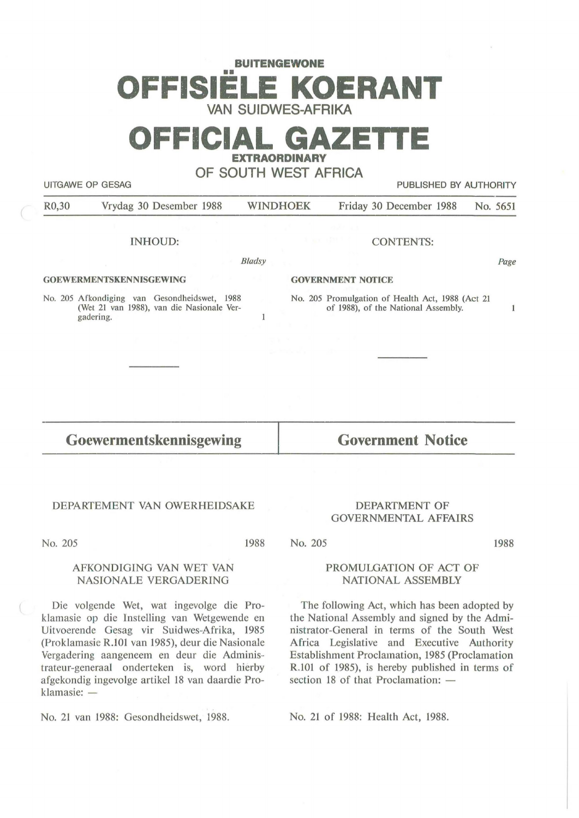# **BUITENGEWONE**  •• **OFFISIELE KOERANT VAN SUIDWES-AFRIKA**

## **OFFICIAL GAZETTE EXTRAORDINARY**

## **OF SOUTH WEST AFRICA**

UITGAWE OP GESAG PUBLISHED BY AUTHORITY

R0,30 Vrydag 30 Desember 1988 WINDHOEK Friday 30 December 1988 No. 5651

### INHOUD:

*Bladsy* 

 $\mathbf{1}$ 

#### **GOEWERMENTSKENNISGEWING**

No. 205 Afkondiging van Gesondheidswet, 1988 (Wet 21 van 1988), van die Nasionale Vergadering.

#### CONTENTS:

Page

#### **GOVERNMENT NOflCE**

No. 205 Promulgation of Health Act, 1988 (Act 21 of 1988), of the National Assembly.

#### $\mathbf{1}$

## **Goewermentskennisgewing**

**Government Notice** 

## DEPARTEMENT VAN OWERHEIDSAKE

No. 205

1988

## DEPARTMENT OF GOVERNMENTAL AFFAIRS

1988

## PROMULGATION OF ACT OF NATIONAL ASSEMBLY

The following Act, which has been adopted by the National Assembly and signed by the Administrator-General in terms of the South West Africa Legislative and Executive Authority Establishment Proclamation, 1985 (Proclamation R.101 of 1985), is hereby published in terms of section 18 of that Proclamation:  $-$ 

No. 21 of 1988: Health Act, 1988.

## AFKONDIGING VAN WET VAN NASIONALE VERGADERING

Die volgende Wet, wat ingevolge die Proklamasie op die Instelling van Wetgewende en Uitvoerende Gesag vir Suidwes-Afrika, 1985 (Proklamasie R.101 van 1985), deur die Nasionale Vergadering aangeneem en deur die Administrateur-generaal onderteken is, word hierby afgekondig ingevolge artikel 18 van daardie Proklamasie: -

No. 21 van 1988: Gesondheidswet, 1988.

No. 205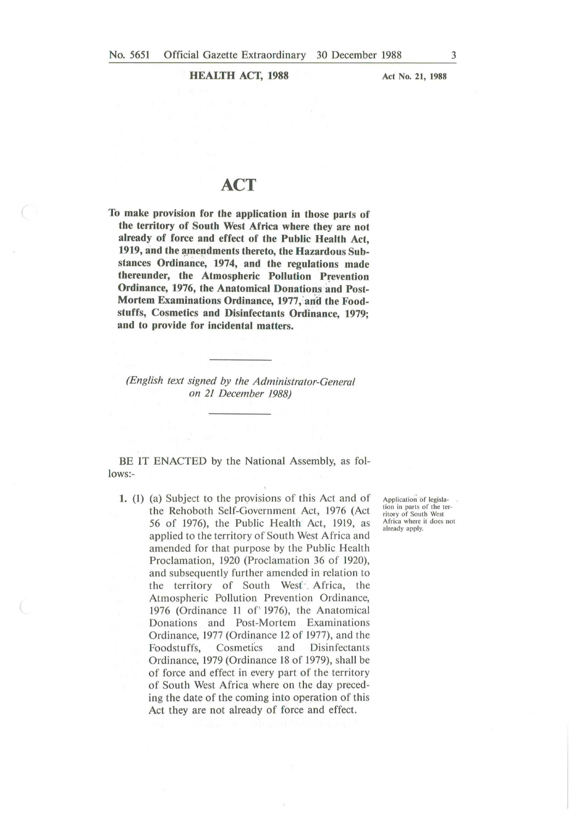**HEALTH ACT, 1988** 

**Act No. 21, 1988** 

## **ACT**

**To make provision for the application in those parts of the territory of South West Africa where they are not already of force and effect of the Public Health Act,**  1919, and the amendments thereto, the Hazardous Sub**stances Ordinance, 1974, and the regulations made thereunder, the Atmospheric Pollution Prevention Ordinance, 1976, the Anatomical Donations and Post-**Mortem Examinations Ordinance, 1977, and the Foodstuffs, Cosmetics and Disinfectants Ordinance, 1979; **and to provide for incidental matters.** 

*(English text signed by the Administrator-General on 21 December 1988)* 

BE IT ENACTED by the National Assembly, as follows:-

**1.** (I) (a) Subject to the provisions of this Act and of the Rehoboth Self-Government Act, 1976 (Act 56 of 1976), the Public Health Act, 1919, as applied to the territory of South West Africa and amended for that purpose by the Public Health Proclamation, 1920 (Proclamation 36 of 1920), and subsequently further amended in relation to the territory of South West Africa, the Atmospheric Pollution Prevention Ordinance, 1976 (Ordinance 11 of' 1976), the Anatomical Donations and Post-Mortem Examinations Ordinance, 1977 (Ordinance 12 of 1977), and the Foodstuffs, Cosmetics and Disinfectants Ordinance, 1979 (Ordinance 18 of 1979), shall be of force and effect in every part of the territory of South West Africa where on the day preceding the date of the coming into operation of this Act they are not already of force and effect.

Application of legislation in parts of the ter-<br>ritory of South West Africa where it does not already apply.